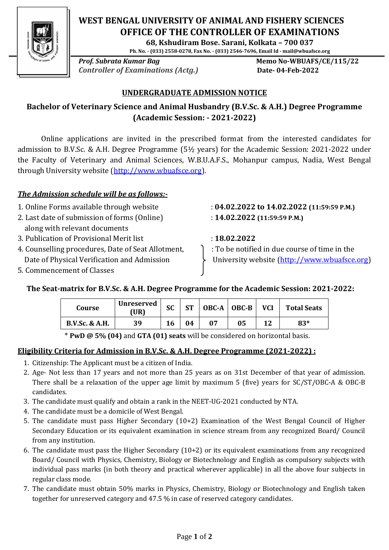

# **WEST BENGAL UNIVERSITY OF ANIMAL AND FISHERY SCIENCES OFFICE OF THE CONTROLLER OF EXAMINATIONS**

**68, Kshudiram Bose. Sarani, Kolkata – 700 037**

**Ph. No. - (033) 2558-0278, Fax No. - (033) 2546-7696, Email Id - mail@wbuafsce.org**

**Prof. Subrata Kumar Bag Memo No-WBUAFS/CE/115/22 Controller of Examinations (Actg.) Date-04-Feb-2022** 

### **UNDERGRADUATE ADMISSION NOTICE**

## **Bachelor of Veterinary Science and Animal Husbandry (B.V.Sc. & A.H.) Degree Programme (Academic Session: - 2021-2022)**

Online applications are invited in the prescribed format from the interested candidates for admission to B.V.Sc. & A.H. Degree Programme (5½ years) for the Academic Session: 2021-2022 under the Faculty of Veterinary and Animal Sciences, W.B.U.A.F.S., Mohanpur campus, Nadia, West Bengal through University website [\(http://www.wbuafsce.org\)](http://www.wbuafsce.org/index.php).

### *The Admission schedule will be as follows:-*

- 
- 2. Last date of submission of forms (Online) : **14.02.2022 (11:59:59 P.M.)** along with relevant documents
- 3. Publication of Provisional Merit list : **18.02.2022**
- 4. Counselling procedures, Date of Seat Allotment,  $\qquad$   $\qquad$  : To be notified in due course of time in the
- 5. Commencement of Classes

1. Online Forms available through website : **04.02.2022 to 14.02.2022 (11:59:59 P.M.)**

Date of Physical Verification and Admission >>>>>>>> University website [\(http://www.wbuafsce.org\)](http://www.wbuafsce.org/index.php)

## **The Seat-matrix for B.V.Sc. & A.H. Degree Programme for the Academic Session: 2021-2022:**

| Course                    | <b>Unreserved</b><br>(UR) | <b>SC</b> | <b>ST</b> | $OBC-A$   $OBC-B$ | <b>VCI</b> | <b>Total Seats</b> |
|---------------------------|---------------------------|-----------|-----------|-------------------|------------|--------------------|
| <b>B.V.Sc. &amp; A.H.</b> | 39                        | 16        | 04        | 05                | 12         | 83*                |

\* **PwD @ 5% (04)** and **GTA (01) seats** will be considered on horizontal basis.

### **Eligibility Criteria for Admission in B.V.Sc. & A.H. Degree Programme (2021-2022) :**

- 1. Citizenship: The Applicant must be a citizen of India.
- 2. Age- Not less than 17 years and not more than 25 years as on 31st December of that year of admission. There shall be a relaxation of the upper age limit by maximum 5 (five) years for SC/ST/OBC-A & OBC-B candidates.
- 3. The candidate must qualify and obtain a rank in the NEET-UG-2021 conducted by NTA.
- 4. The candidate must be a domicile of West Bengal.
- 5. The candidate must pass Higher Secondary (10+2) Examination of the West Bengal Council of Higher Secondary Education or its equivalent examination in science stream from any recognized Board/ Council from any institution.
- 6. The candidate must pass the Higher Secondary (10+2) or its equivalent examinations from any recognized Board/ Council with Physics, Chemistry, Biology or Biotechnology and English as compulsory subjects with individual pass marks (in both theory and practical wherever applicable) in all the above four subjects in regular class mode.
- 7. The candidate must obtain 50% marks in Physics, Chemistry, Biology or Biotechnology and English taken together for unreserved category and 47.5 % in case of reserved category candidates.